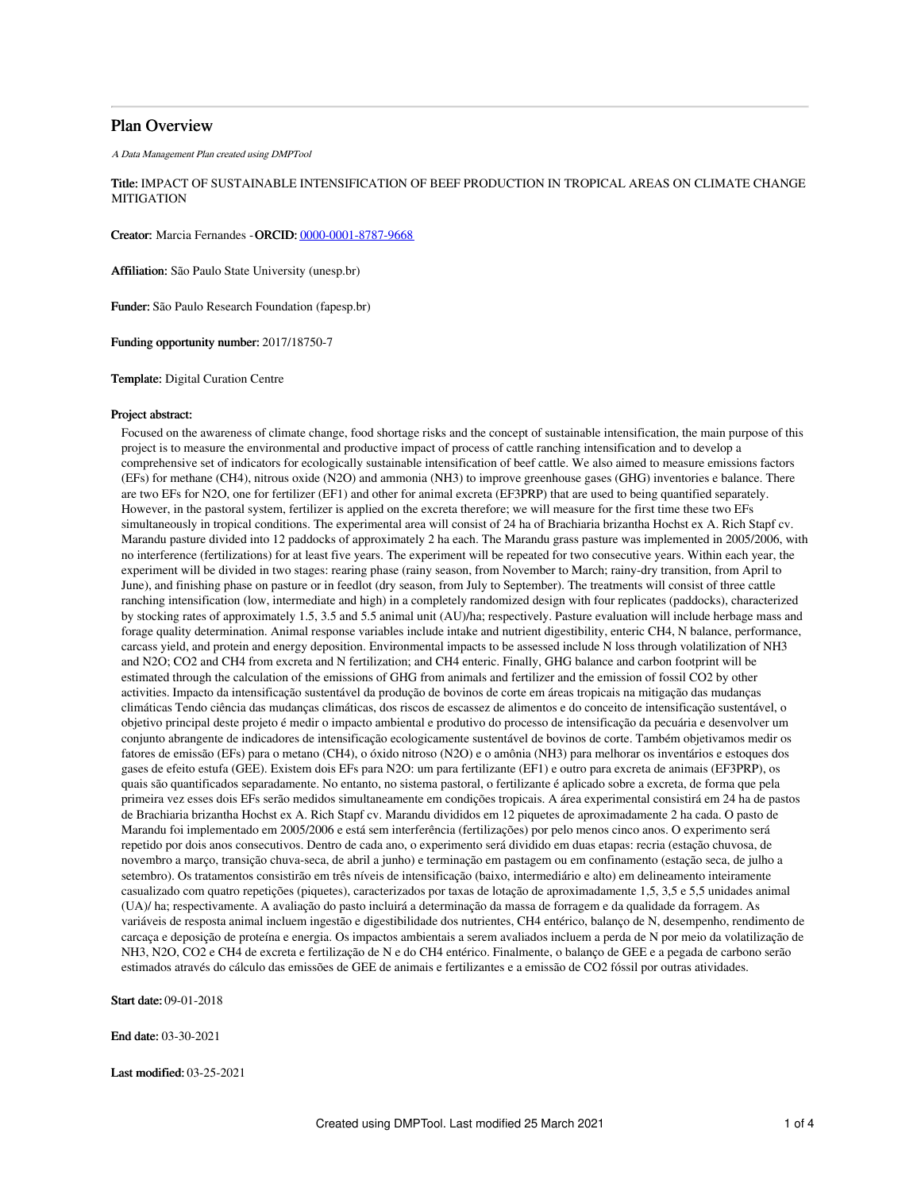# Plan Overview

A Data Management Plan created using DMPTool

Title: IMPACT OF SUSTAINABLE INTENSIFICATION OF BEEF PRODUCTION IN TROPICAL AREAS ON CLIMATE CHANGE MITIGATION

Creator: Marcia Fernandes -ORCID: [0000-0001-8787-9668](https://orcid.org/0000-0001-8787-9668)

Affiliation: São Paulo State University (unesp.br)

Funder: São Paulo Research Foundation (fapesp.br)

Funding opportunity number: 2017/18750-7

Template: Digital Curation Centre

#### Project abstract:

Focused on the awareness of climate change, food shortage risks and the concept of sustainable intensification, the main purpose of this project is to measure the environmental and productive impact of process of cattle ranching intensification and to develop a comprehensive set of indicators for ecologically sustainable intensification of beef cattle. We also aimed to measure emissions factors (EFs) for methane (CH4), nitrous oxide (N2O) and ammonia (NH3) to improve greenhouse gases (GHG) inventories e balance. There are two EFs for N2O, one for fertilizer (EF1) and other for animal excreta (EF3PRP) that are used to being quantified separately. However, in the pastoral system, fertilizer is applied on the excreta therefore; we will measure for the first time these two EFs simultaneously in tropical conditions. The experimental area will consist of 24 ha of Brachiaria brizantha Hochst ex A. Rich Stapf cv. Marandu pasture divided into 12 paddocks of approximately 2 ha each. The Marandu grass pasture was implemented in 2005/2006, with no interference (fertilizations) for at least five years. The experiment will be repeated for two consecutive years. Within each year, the experiment will be divided in two stages: rearing phase (rainy season, from November to March; rainy-dry transition, from April to June), and finishing phase on pasture or in feedlot (dry season, from July to September). The treatments will consist of three cattle ranching intensification (low, intermediate and high) in a completely randomized design with four replicates (paddocks), characterized by stocking rates of approximately 1.5, 3.5 and 5.5 animal unit (AU)/ha; respectively. Pasture evaluation will include herbage mass and forage quality determination. Animal response variables include intake and nutrient digestibility, enteric CH4, N balance, performance, carcass yield, and protein and energy deposition. Environmental impacts to be assessed include N loss through volatilization of NH3 and N2O; CO2 and CH4 from excreta and N fertilization; and CH4 enteric. Finally, GHG balance and carbon footprint will be estimated through the calculation of the emissions of GHG from animals and fertilizer and the emission of fossil CO2 by other activities. Impacto da intensificação sustentável da produção de bovinos de corte em áreas tropicais na mitigação das mudanças climáticas Tendo ciência das mudanças climáticas, dos riscos de escassez de alimentos e do conceito de intensificação sustentável, o objetivo principal deste projeto é medir o impacto ambiental e produtivo do processo de intensificação da pecuária e desenvolver um conjunto abrangente de indicadores de intensificação ecologicamente sustentável de bovinos de corte. Também objetivamos medir os fatores de emissão (EFs) para o metano (CH4), o óxido nitroso (N2O) e o amônia (NH3) para melhorar os inventários e estoques dos gases de efeito estufa (GEE). Existem dois EFs para N2O: um para fertilizante (EF1) e outro para excreta de animais (EF3PRP), os quais são quantificados separadamente. No entanto, no sistema pastoral, o fertilizante é aplicado sobre a excreta, de forma que pela primeira vez esses dois EFs serão medidos simultaneamente em condições tropicais. A área experimental consistirá em 24 ha de pastos de Brachiaria brizantha Hochst ex A. Rich Stapf cv. Marandu divididos em 12 piquetes de aproximadamente 2 ha cada. O pasto de Marandu foi implementado em 2005/2006 e está sem interferência (fertilizações) por pelo menos cinco anos. O experimento será repetido por dois anos consecutivos. Dentro de cada ano, o experimento será dividido em duas etapas: recria (estação chuvosa, de novembro a março, transição chuva-seca, de abril a junho) e terminação em pastagem ou em confinamento (estação seca, de julho a setembro). Os tratamentos consistirão em três níveis de intensificação (baixo, intermediário e alto) em delineamento inteiramente casualizado com quatro repetições (piquetes), caracterizados por taxas de lotação de aproximadamente 1,5, 3,5 e 5,5 unidades animal (UA)/ ha; respectivamente. A avaliação do pasto incluirá a determinação da massa de forragem e da qualidade da forragem. As variáveis de resposta animal incluem ingestão e digestibilidade dos nutrientes, CH4 entérico, balanço de N, desempenho, rendimento de carcaça e deposição de proteína e energia. Os impactos ambientais a serem avaliados incluem a perda de N por meio da volatilização de NH3, N2O, CO2 e CH4 de excreta e fertilização de N e do CH4 entérico. Finalmente, o balanço de GEE e a pegada de carbono serão estimados através do cálculo das emissões de GEE de animais e fertilizantes e a emissão de CO2 fóssil por outras atividades.

Start date: 09-01-2018

End date: 03-30-2021

Last modified: 03-25-2021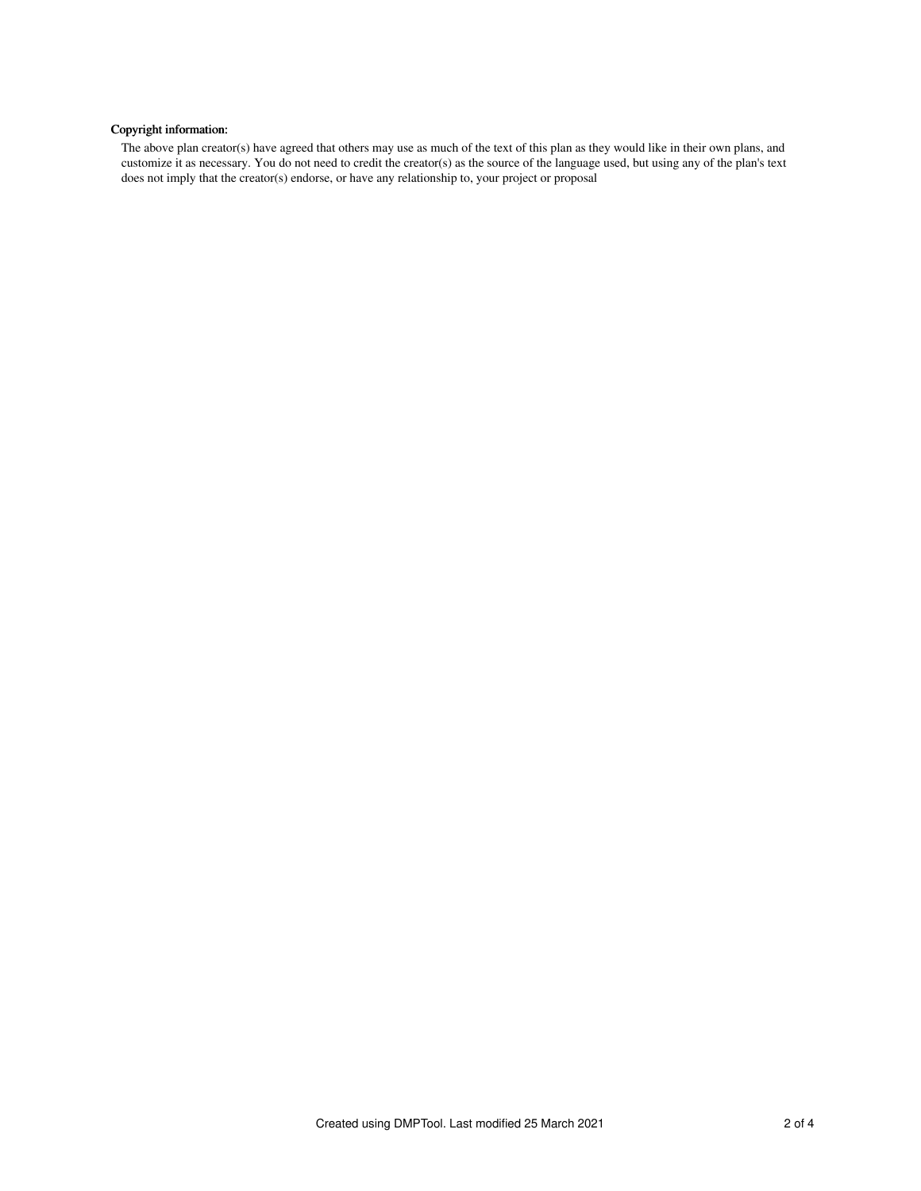# Copyright information:

The above plan creator(s) have agreed that others may use as much of the text of this plan as they would like in their own plans, and customize it as necessary. You do not need to credit the creator(s) as the source of the language used, but using any of the plan's text does not imply that the creator(s) endorse, or have any relationship to, your project or proposal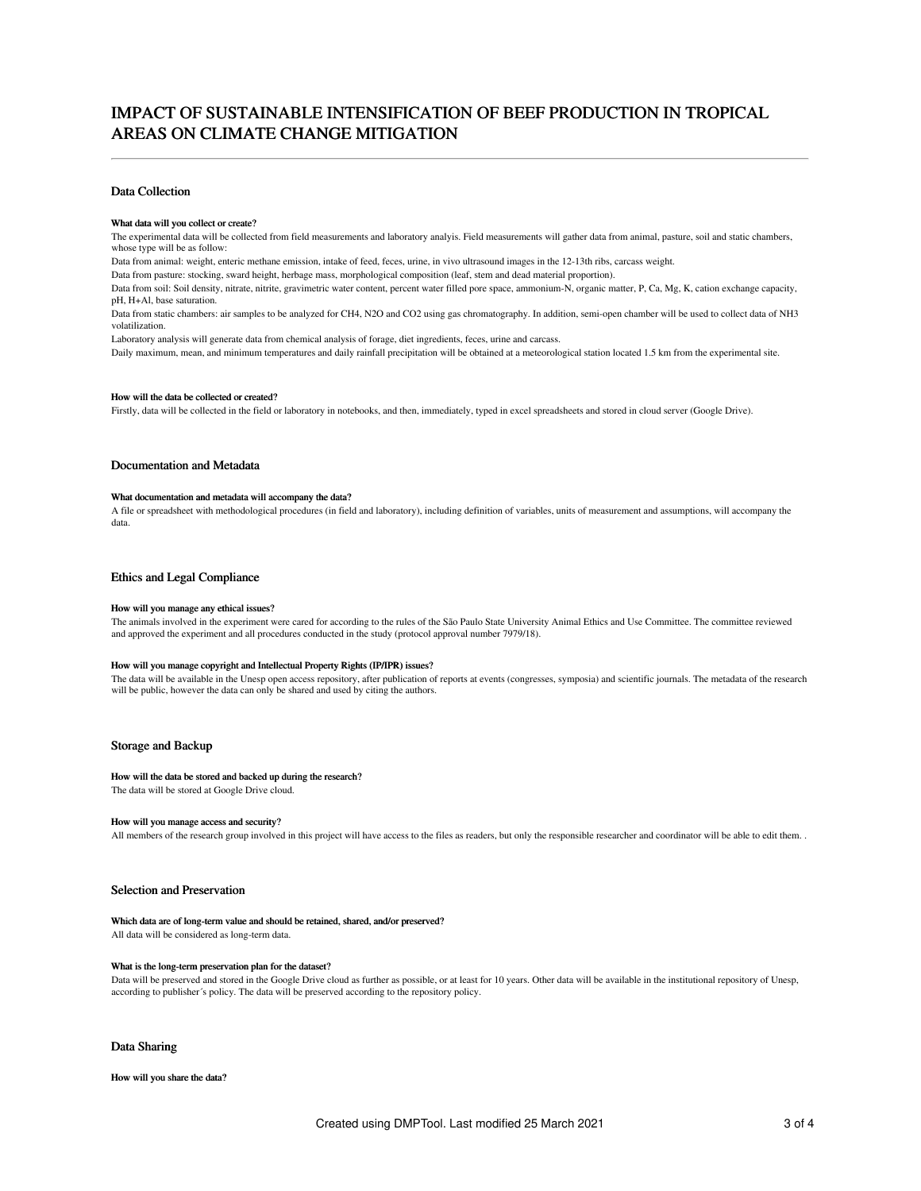# IMPACT OF SUSTAINABLE INTENSIFICATION OF BEEF PRODUCTION IN TROPICAL AREAS ON CLIMATE CHANGE MITIGATION

### Data Collection

#### What data will you collect or create?

The experimental data will be collected from field measurements and laboratory analyis. Field measurements will gather data from animal, pasture, soil and static chambers, whose type will be as follow:

Data from animal: weight, enteric methane emission, intake of feed, feces, urine, in vivo ultrasound images in the 12-13th ribs, carcass weight.

Data from pasture: stocking, sward height, herbage mass, morphological composition (leaf, stem and dead material proportion).

Data from soil: Soil density, nitrate, nitrite, gravimetric water content, percent water filled pore space, ammonium-N, organic matter, P, Ca, Mg, K, cation exchange capacity, pH, H+Al, base saturation.

Data from static chambers: air samples to be analyzed for CH4, N2O and CO2 using gas chromatography. In addition, semi-open chamber will be used to collect data of NH3 volatilization.

Laboratory analysis will generate data from chemical analysis of forage, diet ingredients, feces, urine and carcass.

Daily maximum, mean, and minimum temperatures and daily rainfall precipitation will be obtained at a meteorological station located 1.5 km from the experimental site.

### How will the data be collected or created?

Firstly, data will be collected in the field or laboratory in notebooks, and then, immediately, typed in excel spreadsheets and stored in cloud server (Google Drive).

#### Documentation and Metadata

## What documentation and metadata will accompany the data?

A file or spreadsheet with methodological procedures (in field and laboratory), including definition of variables, units of measurement and assumptions, will accompany the data.

## Ethics and Legal Compliance

#### How will you manage any ethical issues?

The animals involved in the experiment were cared for according to the rules of the São Paulo State University Animal Ethics and Use Committee. The committee reviewed and approved the experiment and all procedures conducted in the study (protocol approval number 7979/18).

#### How will you manage copyright and Intellectual Property Rights (IP/IPR) issues?

The data will be available in the Unesp open access repository, after publication of reports at events (congresses, symposia) and scientific journals. The metadata of the research will be public, however the data can only be shared and used by citing the authors.

#### Storage and Backup

#### How will the data be stored and backed up during the research?

The data will be stored at Google Drive cloud.

#### How will you manage access and security?

All members of the research group involved in this project will have access to the files as readers, but only the responsible researcher and coordinator will be able to edit them. .

#### Selection and Preservation

Which data are of long-term value and should be retained, shared, and/or preserved?

All data will be considered as long-term data.

#### What is the long-term preservation plan for the dataset?

Data will be preserved and stored in the Google Drive cloud as further as possible, or at least for 10 years. Other data will be available in the institutional repository of Unesp, according to publisher´s policy. The data will be preserved according to the repository policy.

#### Data Sharing

How will you share the data?